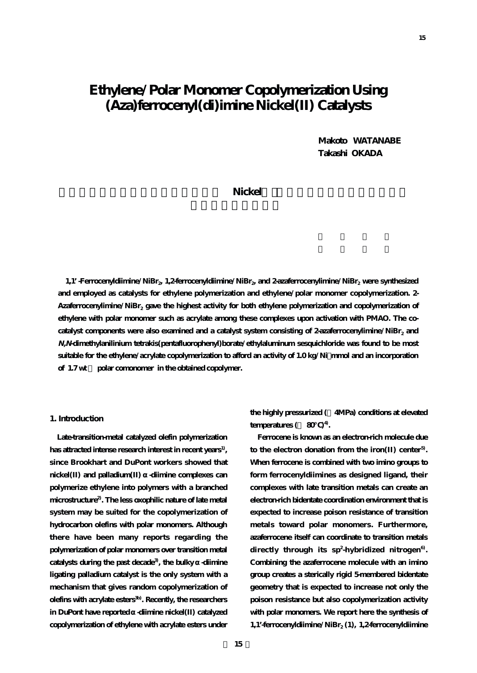# **Ethylene/Polar Monomer Copolymerization Using (Aza)ferrocenyl(di)imine Nickel(II) Catalysts**

**Makoto WATANABE Takashi OKADA**

# $\bf{Nickel}$

**1,1'**-Ferrocenyldiimine/NiBr<sub>2</sub>, 1,2-ferrocenyldiimine/NiBr<sub>2</sub> and 2-azaferrocenylimine/NiBr<sub>2</sub> were synthesized **and employed as catalysts for ethylene polymerization and ethylene/polar monomer copolymerization. 2-** Azaferrocenylimine/NiBr<sub>2</sub> gave the highest activity for both ethylene polymerization and copolymerization of **ethylene with polar monomer such as acrylate among these complexes upon activation with PMAO. The co**catalyst components were also examined and a catalyst system consisting of 2-azaferrocenylimine/NiBr<sub>2</sub> and **N,N-dimethylanilinium tetrakis(pentafluorophenyl)borate/ethylaluminum sesquichloride was found to be most suitable for the ethylene/acrylate copolymerization to afford an activity of 1.0 kg/Ni・mmol and an incorporation of 1.7 wt % polar comonomer in the obtained copolymer.**

## **1. Introduction**

**Late-transition-metal catalyzed olefin polymerization has attracted intense research interest in recent years1), since Brookhart and DuPont workers showed that** nickel(II) and palladium(II) -diimine complexes can **polymerize ethylene into polymers with a branched microstructure2). The less oxophilic nature of late metal system may be suited for the copolymerization of hydrocarbon olefins with polar monomers. Although there have been many reports regarding the polymerization of polar monomers over transition metal** catalysts during the past decade<sup>3</sup>, the bulky -diimine **ligating palladium catalyst is the only system with a mechanism that gives random copolymerization of olefins with acrylate esters3b). Recently, the researchers** in DuPont have reported -diimine nickel(II) catalyzed **copolymerization of ethylene with acrylate esters under**

**the highly pressurized (>4MPa) conditions at elevated temperatures (** $\approx 80$ )<sup>4</sup>.

**Ferrocene is known as an electron-rich molecule due to the electron donation from the iron(II) center5). When ferrocene is combined with two imino groups to form ferrocenyldiimines as designed ligand, their complexes with late transition metals can create an electron-rich bidentate coordination environment that is expected to increase poison resistance of transition metals toward polar monomers. Furthermore, azaferrocene itself can coordinate to transition metals directly through its sp<sup>2</sup> -hybridized nitrogen6). Combining the azaferrocene molecule with an imino group creates a sterically rigid 5-membered bidentate geometry that is expected to increase not only the poison resistance but also copolymerization activity with polar monomers. We report here the synthesis of 1,1'-ferrocenyldiimine/NiBr2 (1), 1,2-ferrocenyldiimine**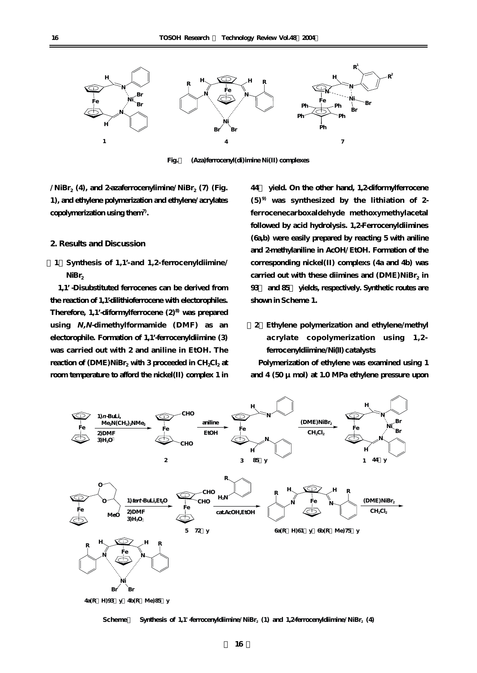

**Fig.1 (Aza)ferrocenyl(di)imine Ni(II) complexes**

 $\sqrt{\text{NiBr}_2(4)}$ , and 2-azaferrocenylimine/NiBr<sub>2</sub> (7) (Fig. **1), and ethylene polymerization and ethylene/acrylates copolymerization using them7).**

#### **2. Results and Discussion**

**[1]Synthesis of 1,1'-and 1,2-ferrocenyldiimine/ NiBr2**

**1,1'-Disubstituted ferrocenes can be derived from the reaction of 1,1'-dilithioferrocene with electorophiles. Therefore, 1,1'-diformylferrocene (2)8) was prepared using N,N-dimethylformamide (DMF) as an electorophile. Formation of 1,1'-ferrocenyldiimine (3) was carried out with 2 and aniline in EtOH. The** reaction of (DME)NiBr<sub>2</sub> with 3 proceeded in CH<sub>2</sub>Cl<sub>2</sub> at **room temperature to afford the nickel(II) complex 1 in**

**44% yield. On the other hand, 1,2-diformylferrocene (5)9) was synthesized by the lithiation of 2 ferrocenecarboxaldehyde methoxymethylacetal followed by acid hydrolysis. 1,2-Ferrocenyldiimines (6a,b) were easily prepared by reacting 5 with aniline and 2-methylaniline in AcOH/EtOH. Formation of the corresponding nickel(II) complexs (4a and 4b) was** carried out with these diimines and (DME)NiBr<sub>2</sub> in **93% and 85% yields, respectively. Synthetic routes are shown in Scheme 1.** 

**[2]Ethylene polymerization and ethylene/methyl acrylate copolymerization using 1,2 ferrocenyldiimine/Ni(II) catalysts**

**Polymerization of ethylene was examined using 1 and 4 (50 μmol) at 1.0 MPa ethylene pressure upon**



Scheme Synthesis of 1,1' -ferrocenyldiimine/NiBr<sub>2</sub> (1) and 1,2-ferrocenyldiimine/NiBr<sub>2</sub> (4)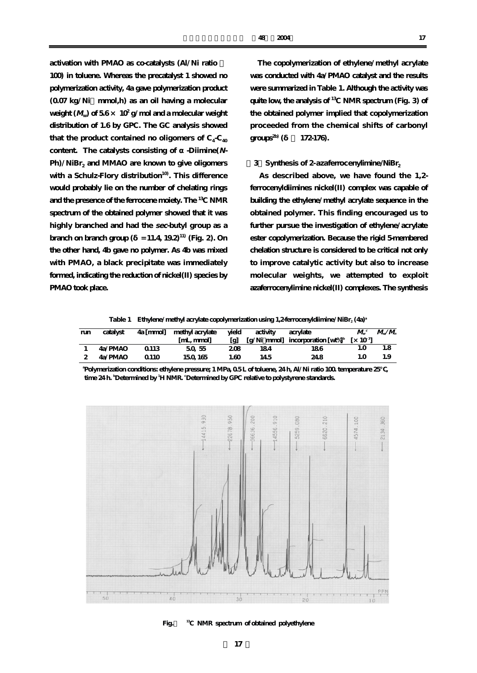**activation with PMAO as co-catalysts (Al/Ni ratio = 100) in toluene. Whereas the precatalyst 1 showed no polymerization activity, 4a gave polymerization product (0.07 kg/Ni・mmol,h) as an oil having a molecular** weight  $(M<sub>w</sub>)$  of  $56 \times 10^2$  g/mol and a molecular weight **distribution of 1.6 by GPC. The GC analysis showed** that the product contained no oligomers of  $C_4$ - $C_4$ <sub>0</sub> content. The catalysts consisting of -Diimine( $N$ -Ph)/NiBr<sub>2</sub> and MMAO are known to give oligomers **with a Schulz-Flory distribution10). This difference would probably lie on the number of chelating rings and the presence of the ferrocene moiety. The 13C NMR spectrum of the obtained polymer showed that it was highly branched and had the sec-butyl group as a branch on branch group (** $= 11.4$ **,**  $19.2$ **) (Fig. 2)**. On **the other hand, 4b gave no polymer. As 4b was mixed with PMAO, a black precipitate was immediately formed, indicating the reduction of nickel(II) species by PMAO took place.** 

**The copolymerization of ethylene/methyl acrylate was conducted with 4a/PMAO catalyst and the results were summarized in Table 1. Although the activity was quite low, the analysis of 13C NMR spectrum (Fig. 3) of the obtained polymer implied that copolymerization proceeded from the chemical shifts of carbonyl**  $\text{groups}^{2b}$  (  $172-176$ ).

#### **[3]Synthesis of 2-azaferrocenylimine/NiBr2**

**As described above, we have found the 1,2 ferrocenyldiimines nickel(II) complex was capable of building the ethylene/methyl acrylate sequence in the obtained polymer. This finding encouraged us to further pursue the investigation of ethylene/acrylate ester copolymerization. Because the rigid 5-membered chelation structure is considered to be critical not only to improve catalytic activity but also to increase molecular weights, we attempted to exploit azaferrocenylimine nickel(II) complexes. The synthesis**

**Table 1 Ethylene/methyl acrylate copolymerization using 1,2-ferrocenyldiimine/NiBr2 (4a)a**

| run | catalyst | 4a [mmol]        | vield<br>methyl acrylate<br>acrylate<br>activity |      | $M_{\cdot}$ <sup>c</sup> | $M_{\scriptscriptstyle\omega}/M_{\scriptscriptstyle\omega}$       |     |     |
|-----|----------|------------------|--------------------------------------------------|------|--------------------------|-------------------------------------------------------------------|-----|-----|
|     |          |                  | [mL, mmol]                                       | [g]  |                          | [g/Ni mmol] incorporation $w\%$ <sup>b</sup> [x 10 <sup>3</sup> ] |     |     |
|     | 4a/PMAO  | 0.113            | 50,55                                            | 208  | 184                      | 186                                                               | l.O | 1.8 |
|     | 4a/PMAO  | Q <sub>110</sub> | 150 165                                          | 1.60 | 14.5                     | 24.8                                                              | 1.O | 1.9 |

**a Polymerization conditions: ethylene pressure; 1 MPa, 0.5 L of toluene, 24 h, Al/Ni ratio 100. temperature 25℃,** time 24 h. **Determined by <sup>1</sup>H NMR. Determined by GPC relative to polystyrene standards.** 



**Fig.2 13C NMR spectrum of obtained polyethylene**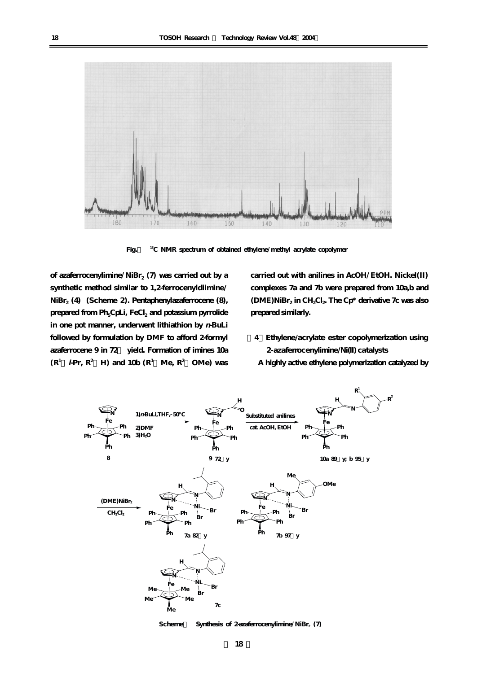

**Fig.3 13C NMR spectrum of obtained ethylene/methyl acrylate copolymer**

of azaferrocenylimine/NiBr<sub>2</sub> (7) was carried out by a **synthetic method similar to 1,2-ferrocenyldiimine/ NiBr2 (4) (Scheme 2). Pentaphenylazaferrocene (8),** prepared from Ph<sub>5</sub>CpLi, FeCl<sub>2</sub> and potassium pyrrolide **in one pot manner, underwent lithiathion by n-BuLi followed by formulation by DMF to afford 2-formyl azaferrocene 9 in 72% yield. Formation of imines 10a**  $(R^1$  *i***-Pr**,  $R^2$  **H**) and 10b  $(R^1$  Me,  $R^2$  OMe) was

**carried out with anilines in AcOH/EtOH. Nickel(II) complexes 7a and 7b were prepared from 10a,b and (DME)NiBr2 in CH2Cl2. The Cp\* derivative 7c was also prepared similarly.**

- **[4]Ethylene/acrylate ester copolymerization using 2-azaferrocenylimine/Ni(II) catalysts**
- **A highly active ethylene polymerization catalyzed by**



Scheme Synthesis of 2-azaferrocenylimine/NiBr<sub>2</sub> (7)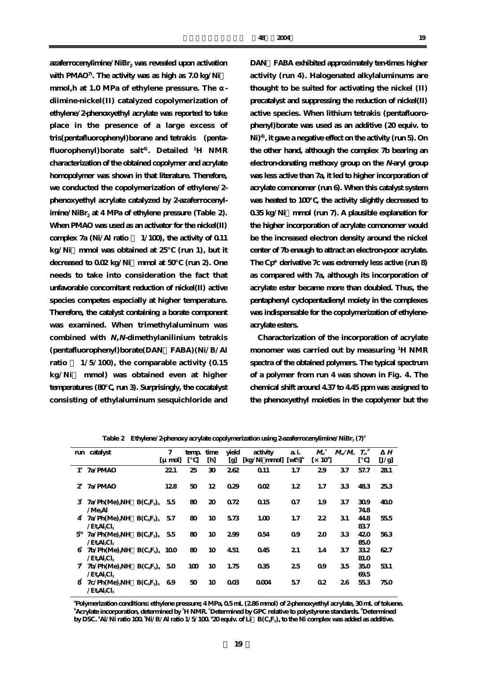azaferrocenylimine/NiBr<sub>2</sub> was revealed upon activation **with PMAO7). The activity was as high as 7.0 kg/Ni・** mmol,h at 1.0 MPa of ethylene pressure. The **diimine-nickel(II) catalyzed copolymerization of ethylene/2-phenoxyethyl acrylate was reported to take place in the presence of a large excess of tris(pentafluorophenyl)borane and tetrakis (penta**fluorophenyl)borate salt<sup>4)</sup>. Detailed <sup>1</sup>H NMR **characterization of the obtained copolymer and acrylate homopolymer was shown in that literature. Therefore, we conducted the copolymerization of ethylene/2 phenoxyethyl acrylate catalyzed by 2-azaferrocenyl**imine/NiBr<sub>2</sub> at 4 MPa of ethylene pressure (Table 2). **When PMAO was used as an activator for the nickel(II)** complex  $7a$  (Ni/Al ratio  $1/100$ , the activity of 0.11 **kg/Ni・mmol was obtained at 25℃ (run 1), but it** decreased to 0.02 kg/Ni mmol at 50 (run 2). One **needs to take into consideration the fact that unfavorable concomitant reduction of nickel(II) active species competes especially at higher temperature. Therefore, the catalyst containing a borate component was examined. When trimethylaluminum was combined with N,N-dimethylanilinium tetrakis (pentafluorophenyl)borate(DAN・FABA)(Ni/B/Al ratio = 1/5/100), the comparable activity (0.15 kg/Ni・ mmol) was obtained even at higher temperatures (80℃, run 3). Surprisingly, the cocatalyst consisting of ethylaluminum sesquichloride and**

**DAN・FABA exhibited approximately ten-times higher activity (run 4). Halogenated alkylaluminums are thought to be suited for activating the nickel (II) precatalyst and suppressing the reduction of nickel(II) active species. When lithium tetrakis (pentafluorophenyl)borate was used as an additive (20 equiv. to Ni)4), it gave a negative effect on the activity (run 5). On the other hand, although the complex 7b bearing an electron-donating methoxy group on the N-aryl group was less active than 7a, it led to higher incorporation of acrylate comonomer (run 6). When this catalyst system** was heated to 100 %, the activity slightly decreased to **0.35 kg/Ni・mmol (run 7). A plausible explanation for the higher incorporation of acrylate comonomer would be the increased electron density around the nickel center of 7b enaugh to attract an electron-poor acrylate. The Cp\* derivative 7c was extremely less active (run 8) as compared with 7a, although its incorporation of acrylate ester became more than doubled. Thus, the pentaphenyl cyclopentadienyl moiety in the complexes was indispensable for the copolymerization of ethyleneacrylate esters.**

**Characterization of the incorporation of acrylate monomer was carried out by measuring <sup>1</sup> H NMR spectra of the obtained polymers. The typical spectrum of a polymer from run 4 was shown in Fig. 4. The chemical shift around 4.37 to 4.45 ppm was assigned to the phenoxyethyl moieties in the copolymer but the**

|               | run catalyst                                                            |             | 7         | temp | time | vield           | activity                                                       | a i. | $M_{\scriptscriptstyle\rm w}{}^{\scriptscriptstyle c}$ | $M_{\nu}/M_{\nu}$ |             | Н     |
|---------------|-------------------------------------------------------------------------|-------------|-----------|------|------|-----------------|----------------------------------------------------------------|------|--------------------------------------------------------|-------------------|-------------|-------|
|               |                                                                         |             | $\mu$ mol |      | [h]  | [g]             | $\lceil \frac{kg}{N} \rceil$ mmol $\lceil \frac{wt}{d} \rceil$ |      | $\left[\times 10^4\right]$                             |                   |             | [J/g] |
| $1^{\circ}$   | 7a/PMAO                                                                 |             | 22.1      | 25   | 30   | 262             | Q <sub>11</sub>                                                | 1.7  | 29                                                     | 37                | 57.7        | 281   |
| $\mathcal{Z}$ | 7a/PMAO                                                                 |             | 128       | 50   | 12   | 029             | 002                                                            | 1.2  | 1.7                                                    | 33                | 483         | 253   |
| 3.            | $7a/Ph(Me)$ <sub>2</sub> NH $B(C_6F_5)$ <sub>4</sub><br>$/$ Me $\rm Al$ |             | 55        | 80   | 20   | 072             | 015                                                            | 07   | 1.9                                                    | 37                | 309<br>748  | 400   |
| 4             | $7a/Ph(Me)$ NH $B(CeF2)4$ 57<br>/Et.Al.Cl <sub>3</sub>                  |             |           | 80   | 10   | 573             | 1.00                                                           | 1.7  | 22                                                     | 31                | 44.8<br>837 | 555   |
| $5^{\rm g}$   | $7a/Ph(Me)_{2}NH B(C_{e}F_{5})_{4}$ 55<br>$/Et$ Al $_2Cl_3$             |             |           | 80   | 10   | 299             | 054                                                            | 09   | 20                                                     | 33                | 420<br>850  | 563   |
| 6             | $7b/Ph(Me)$ NH $B(CeF2)$ 100<br>$/$ Et $\text{Al}$ Cl $\text{s}$        |             |           | 80   | 10   | 4.51            | 045                                                            | 21   | 1.4                                                    | 37                | 332<br>81.0 | 627   |
|               | 7b/Ph(Me) <sub>2</sub> NH<br>$/Et$ Al $_2Cl_3$                          | $B(C_eF_a)$ | 50        | 100  | 10   | 1.75            | 035                                                            | 25   | 09                                                     | 35                | 350<br>69.5 | 531   |
| 8             | $7c/Ph(Me)_{2}NH B(C_{6}F_{5})_{4}$<br>/Et.Al.Cl.                       |             | 69        | 50   | 10   | 00 <sup>3</sup> | 0004                                                           | 57   | 02                                                     | 26                | 553         | 750   |

Table 2 Ethylene/2-phenoxy acrylate copolymerization using 2-azaferrocenylimine/NiBr<sub>2</sub> (7)<sup>a</sup>

**a Polymerization conditions: ethylene pressure; 4 MPa, 0.5 mL (2.86 mmol) of 2-phenoxyethyl acrylate, 30 mL of toluene. b Acrylate incorporation, determined by <sup>1</sup> H NMR. <sup>c</sup> Determined by GPC relative to polystyrene standards. <sup>d</sup> Determined by DSC. e Al/Ni ratio 100. <sup>f</sup> Ni/B/Al ratio 1/5/100. <sup>g</sup> 20 equiv. of Li・B(C6F5)4 to the Ni complex was added as additive.**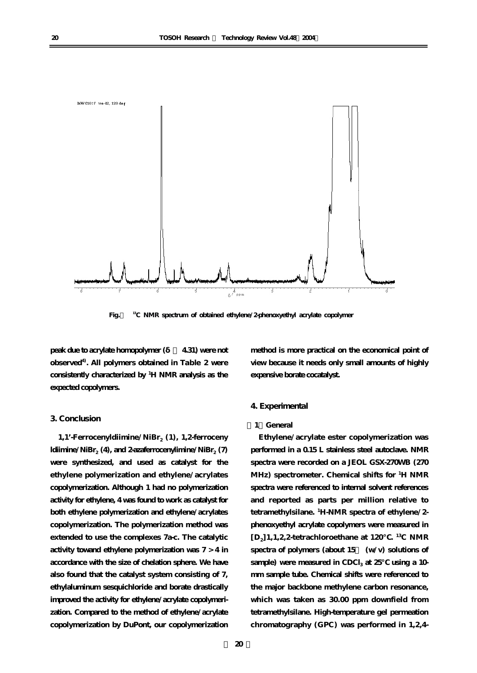

**Fig.4 13C NMR spectrum of obtained ethylene/2-phenoxyethyl acrylate copolymer**

**peak due to acrylate homopolymer (δ= 4.31) were not observed4). All polymers obtained in Table 2 were consistently characterized by <sup>1</sup> H NMR analysis as the expected copolymers.**

# **3. Conclusion**

1,1'-Ferrocenyldiimine/NiBr<sub>2</sub> (1), 1,2-ferroceny  $ldiimine/NiBr<sub>2</sub>$  **(4), and 2-azaferrocenylimine/NiBr<sub>2</sub> (7) were synthesized, and used as catalyst for the ethylene polymerization and ethylene/acrylates copolymerization. Although 1 had no polymerization activity for ethylene, 4 was found to work as catalyst for both ethylene polymerization and ethylene/acrylates copolymerization. The polymerization method was extended to use the complexes 7a-c. The catalytic activity towand ethylene polymerization was 7 > 4 in accordance with the size of chelation sphere. We have also found that the catalyst system consisting of 7, ethylaluminum sesquichloride and borate drastically improved the activity for ethylene/acrylate copolymerization. Compared to the method of ethylene/acrylate copolymerization by DuPont, our copolymerization**

**method is more practical on the economical point of view because it needs only small amounts of highly expensive borate cocatalyst.**

# **4. Experimental**

## **[1]General**

**Ethylene/acrylate ester copolymerization was performed in a 0.15 L stainless steel autoclave. NMR spectra were recorded on a JEOL GSX-270WB (270 MHz) spectrometer. Chemical shifts for <sup>1</sup> H NMR spectra were referenced to internal solvent references and reported as parts per million relative to tetramethylsilane. <sup>1</sup> H-NMR spectra of ethylene/2 phenoxyethyl acrylate copolymers were measured in [D2]1,1,2,2-tetrachloroethane at 120℃. 13C NMR** spectra of polymers (about 15 (w/v) solutions of sample) were measured in CDCl<sub>3</sub> at 25 using a 10**mm sample tube. Chemical shifts were referenced to the major backbone methylene carbon resonance, which was taken as 30.00 ppm downfield from tetramethylsilane. High-temperature gel permeation chromatography (GPC) was performed in 1,2,4-**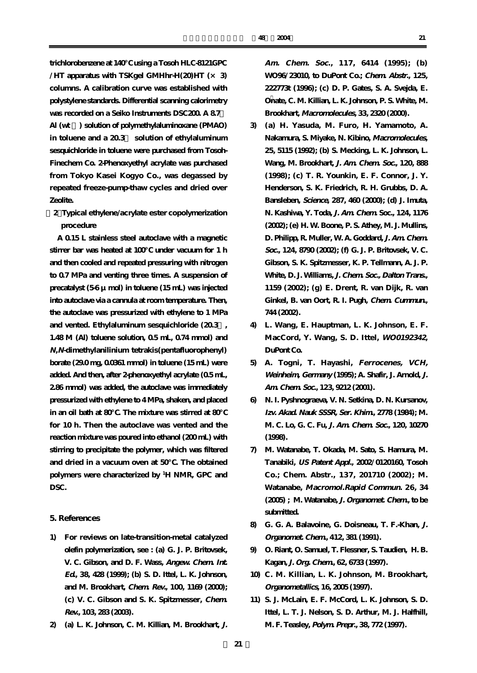**trichlorobenzene at 140℃ using a Tosoh HLC-8121GPC /HT apparatus with TSKgel GMHhr-H(20)HT (× 3) columns. A calibration curve was established with polystylene standards. Differential scanning calorimetry** was recorded on a Seiko Instruments DSC200. A 8.7 **Al (wt %) solution of polymethylaluminoxane (PMAO) in toluene and a 20.3% solution of ethylaluminum sesquichloride in toluene were purchased from Tosoh-Finechem Co. 2-Phenoxyethyl acrylate was purchased from Tokyo Kasei Kogyo Co., was degassed by repeated freeze-pump-thaw cycles and dried over Zeolite.**

**[2]Typical ethylene/acrylate ester copolymerization procedure**

**A 0.15 L stainless steel autoclave with a magnetic stirrer bar was heated at 100℃ under vacuum for 1 h and then cooled and repeated pressuring with nitrogen to 0.7 MPa and venting three times. A suspension of precatalyst (5-6 μmol) in toluene (15 mL) was injected into autoclave via a cannula at room temperature. Then, the autoclave was pressurized with ethylene to 1 MPa and vented. Ethylaluminum sesquichloride (20.3%, 1.48 M (Al) toluene solution, 0.5 mL, 0.74 mmol) and N,N-dimethylanilinium tetrakis(pentafluorophenyl) borate (29.0 mg, 0.0361 mmol) in toluene (15 mL) were added. And then, after 2-phenoxyethyl acrylate (0.5 mL, 2.86 mmol) was added, the autoclave was immediately pressurized with ethylene to 4 MPa, shaken, and placed in an oil bath at 80℃. The mixture was stirred at 80℃ for 10 h. Then the autoclave was vented and the reaction mixture was poured into ethanol (200 mL) with stirring to precipitate the polymer, which was filtered and dried in a vacuum oven at 50℃. The obtained polymers were characterized by <sup>1</sup> H NMR, GPC and DSC.**

#### **5. References**

- **1) For reviews on late-transition-metal catalyzed olefin polymerization, see : (a) G. J. P. Britovsek, V. C. Gibson, and D. F. Wass, Angew. Chem. Int. Ed., 38, 428 (1999); (b) S. D. Ittel, L. K. Johnson, and M. Brookhart, Chem. Rev., 100, 1169 (2000); (c) V. C. Gibson and S. K. Spitzmesser, Chem. Rev., 103, 283 (2003).**
- **2) (a) L. K. Johnson, C. M. Killian, M. Brookhart, J.**

**Am. Chem. Soc., 117, 6414 (1995); (b) WO96/23010, to DuPont Co.; Chem. Abstr., 125, 222773t (1996); (c) D. P. Gates, S. A. Svejda, E. Onate, C. M. Killian, L. K. Johnson, P. S. White, M. Brookhart, Macromolecules, 33, 2320 (2000).**

- **3) (a) H. Yasuda, M. Furo, H. Yamamoto, A. Nakamura, S. Miyake, N. Kibino, Macromolecules, 25, 5115 (1992); (b) S. Mecking, L. K. Johnson, L. Wang, M. Brookhart, J. Am. Chem. Soc., 120, 888 (1998); (c) T. R. Younkin, E. F. Connor, J. Y. Henderson, S. K. Friedrich, R. H. Grubbs, D. A. Bansleben, Science, 287, 460 (2000); (d) J. Imuta, N. Kashiwa, Y. Toda, J. Am. Chem. Soc., 124, 1176 (2002); (e) H. W. Boone, P. S. Athey, M. J. Mullins, D. Philipp, R. Muller, W. A. Goddard, J. Am. Chem. Soc., 124, 8790 (2002); (f) G. J. P. Britovsek, V. C. Gibson, S. K. Spitzmesser, K. P. Tellmann, A. J. P. White, D. J. Williams, J. Chem. Soc., Dalton Trans., 1159 (2002); (g) E. Drent, R. van Dijk, R. van Ginkel, B. van Oort, R. I. Pugh, Chem. Cummun., 744 (2002).**
- **4) L. Wang, E. Hauptman, L. K. Johnson, E. F. MacCord, Y. Wang, S. D. Ittel, WO0192342, DuPont Co.**
- **5) A. Togni, T. Hayashi, Ferrocenes, VCH, Weinheim, Germany (1995); A. Shafir, J. Arnold, J. Am. Chem. Soc., 123, 9212 (2001).**
- **6) N. I. Pyshnograeva, V. N. Setkina, D. N. Kursanov, Izv. Akad. Nauk SSSR, Ser. Khim., 2778 (1984); M. M. C. Lo, G. C. Fu, J. Am. Chem. Soc., 120, 10270 (1998).**
- **7) M. Watanabe, T. Okada, M. Sato, S. Hamura, M. Tanabiki, US Patent Appl., 2002/0120160, Tosoh Co.; Chem. Abstr., 137, 201710 (2002); M. Watanabe, Macromol.Rapid Commun. 26, 34 (2005) ; M. Watanabe, J. Organomet. Chem., to be submitted.**
- **8) G. G. A. Balavoine, G. Doisneau, T. F.-Khan, J. Organomet. Chem., 412, 381 (1991).**
- **9) O. Riant, O. Samuel, T. Flessner, S. Taudien, H. B. Kagan, J. Org. Chem., 62, 6733 (1997).**
- **10) C. M. Killian, L. K. Johnson, M. Brookhart, Organometallics, 16, 2005 (1997).**
- **11) S. J. McLain, E. F. McCord, L. K. Johnson, S. D. Ittel, L. T. J. Nelson, S. D. Arthur, M. J. Halfhill, M. F. Teasley, Polym. Prepr., 38, 772 (1997).**